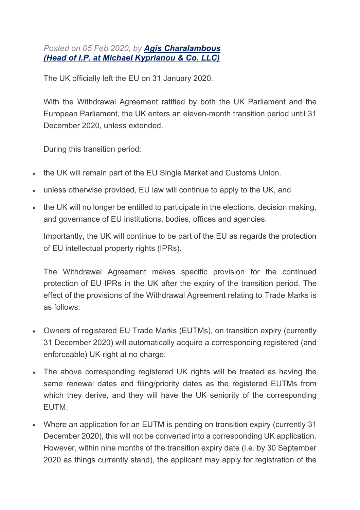*Posted on 05 Feb 2020, by Agis Charalambous (Head of I.P. at Michael Kyprianou & Co. LLC)*

The UK officially left the EU on 31 January 2020.

With the Withdrawal Agreement ratified by both the UK Parliament and the European Parliament, the UK enters an eleven-month transition period until 31 December 2020, unless extended.

During this transition period:

- the UK will remain part of the EU Single Market and Customs Union.
- unless otherwise provided. EU law will continue to apply to the UK, and
- the UK will no longer be entitled to participate in the elections, decision making, and governance of EU institutions, bodies, offices and agencies.

Importantly, the UK will continue to be part of the EU as regards the protection of EU intellectual property rights (IPRs).

The Withdrawal Agreement makes specific provision for the continued protection of EU IPRs in the UK after the expiry of the transition period. The effect of the provisions of the Withdrawal Agreement relating to Trade Marks is as follows:

- Owners of registered EU Trade Marks (EUTMs), on transition expiry (currently 31 December 2020) will automatically acquire a corresponding registered (and enforceable) UK right at no charge.
- The above corresponding registered UK rights will be treated as having the same renewal dates and filing/priority dates as the registered EUTMs from which they derive, and they will have the UK seniority of the corresponding EUTM.
- Where an application for an EUTM is pending on transition expiry (currently 31) December 2020), this will not be converted into a corresponding UK application. However, within nine months of the transition expiry date (i.e. by 30 September 2020 as things currently stand), the applicant may apply for registration of the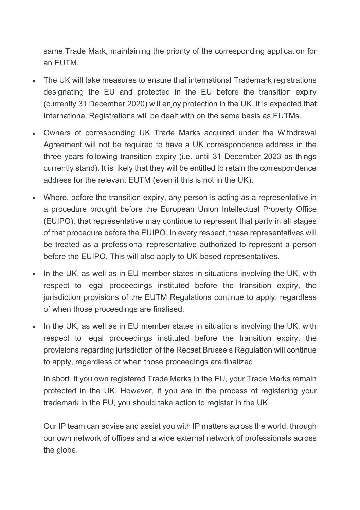same Trade Mark, maintaining the priority of the corresponding application for an EUTM.

- The UK will take measures to ensure that international Trademark registrations designating the EU and protected in the EU before the transition expiry (currently 31 December 2020) will enjoy protection in the UK. It is expected that International Registrations will be dealt with on the same basis as EUTMs.
- Owners of corresponding UK Trade Marks acquired under the Withdrawal Agreement will not be required to have a UK correspondence address in the three years following transition expiry (i.e. until 31 December 2023 as things currently stand). It is likely that they will be entitled to retain the correspondence address for the relevant EUTM (even if this is not in the UK).
- Where, before the transition expiry, any person is acting as a representative in a procedure brought before the European Union Intellectual Property Office (EUIPO), that representative may continue to represent that party in all stages of that procedure before the EUIPO. In every respect, these representatives will be treated as a professional representative authorized to represent a person before the EUIPO. This will also apply to UK-based representatives.
- In the UK, as well as in EU member states in situations involving the UK, with respect to legal proceedings instituted before the transition expiry, the jurisdiction provisions of the EUTM Regulations continue to apply, regardless of when those proceedings are finalised.
- In the UK, as well as in EU member states in situations involving the UK, with respect to legal proceedings instituted before the transition expiry, the provisions regarding jurisdiction of the Recast Brussels Regulation will continue to apply, regardless of when those proceedings are finalized.

In short, if you own registered Trade Marks in the EU, your Trade Marks remain protected in the UK. However, if you are in the process of registering your trademark in the EU, you should take action to register in the UK.

Our IP team can advise and assist you with IP matters across the world, through our own network of offices and a wide external network of professionals across the globe.